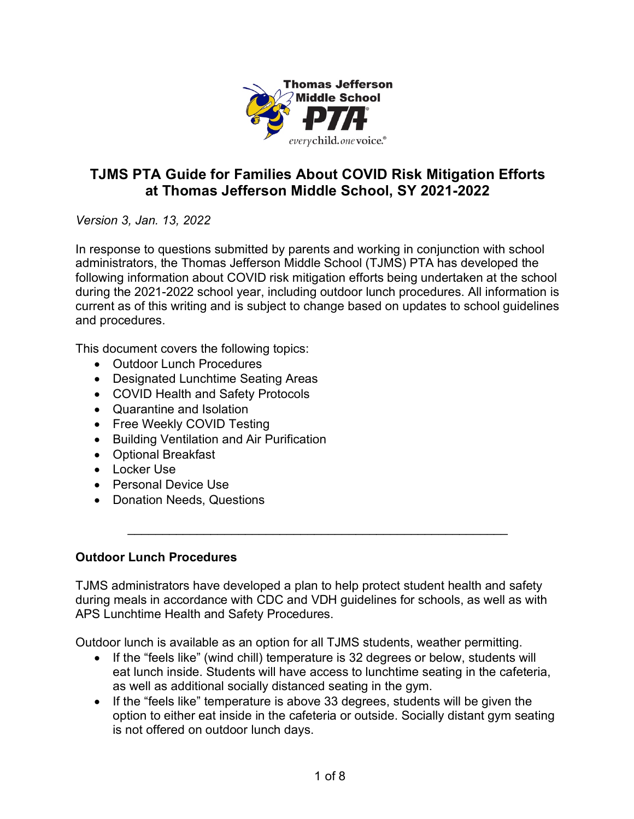

# **TJMS PTA Guide for Families About COVID Risk Mitigation Efforts at Thomas Jefferson Middle School, SY 2021-2022**

*Version 3, Jan. 13, 2022*

In response to questions submitted by parents and working in conjunction with school administrators, the Thomas Jefferson Middle School (TJMS) PTA has developed the following information about COVID risk mitigation efforts being undertaken at the school during the 2021-2022 school year, including outdoor lunch procedures. All information is current as of this writing and is subject to change based on updates to school guidelines and procedures.

This document covers the following topics:

- Outdoor Lunch Procedures
- Designated Lunchtime Seating Areas
- COVID Health and Safety Protocols
- Quarantine and Isolation
- Free Weekly COVID Testing
- Building Ventilation and Air Purification
- Optional Breakfast
- Locker Use
- Personal Device Use
- Donation Needs, Questions

#### **Outdoor Lunch Procedures**

TJMS administrators have developed a plan to help protect student health and safety during meals in accordance with CDC and VDH guidelines for schools, as well as with APS Lunchtime Health and Safety Procedures.

\_\_\_\_\_\_\_\_\_\_\_\_\_\_\_\_\_\_\_\_\_\_\_\_\_\_\_\_\_\_\_\_\_\_\_\_\_\_\_\_\_\_\_\_\_\_\_\_\_\_\_\_\_\_\_

Outdoor lunch is available as an option for all TJMS students, weather permitting.

- If the "feels like" (wind chill) temperature is 32 degrees or below, students will eat lunch inside. Students will have access to lunchtime seating in the cafeteria, as well as additional socially distanced seating in the gym.
- If the "feels like" temperature is above 33 degrees, students will be given the option to either eat inside in the cafeteria or outside. Socially distant gym seating is not offered on outdoor lunch days.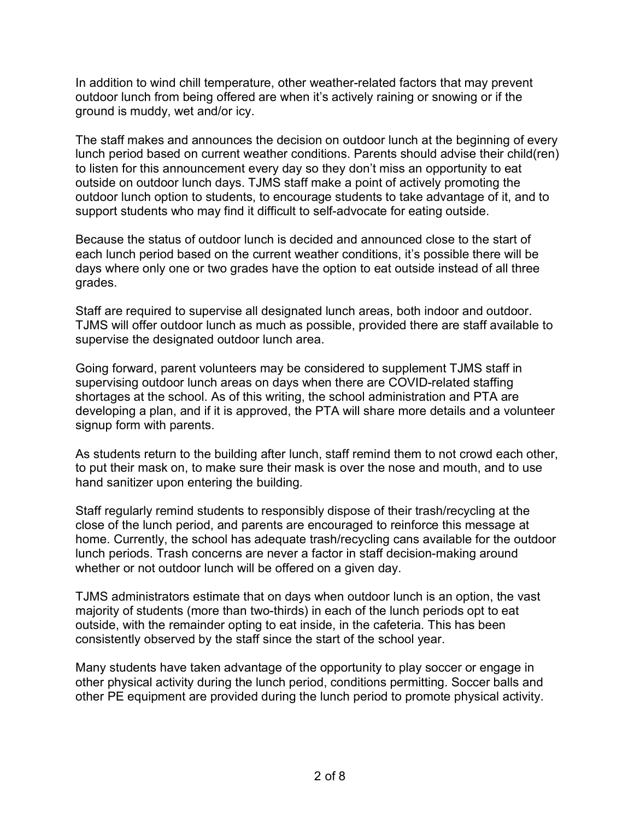In addition to wind chill temperature, other weather-related factors that may prevent outdoor lunch from being offered are when it's actively raining or snowing or if the ground is muddy, wet and/or icy.

The staff makes and announces the decision on outdoor lunch at the beginning of every lunch period based on current weather conditions. Parents should advise their child(ren) to listen for this announcement every day so they don't miss an opportunity to eat outside on outdoor lunch days. TJMS staff make a point of actively promoting the outdoor lunch option to students, to encourage students to take advantage of it, and to support students who may find it difficult to self-advocate for eating outside.

Because the status of outdoor lunch is decided and announced close to the start of each lunch period based on the current weather conditions, it's possible there will be days where only one or two grades have the option to eat outside instead of all three grades.

Staff are required to supervise all designated lunch areas, both indoor and outdoor. TJMS will offer outdoor lunch as much as possible, provided there are staff available to supervise the designated outdoor lunch area.

Going forward, parent volunteers may be considered to supplement TJMS staff in supervising outdoor lunch areas on days when there are COVID-related staffing shortages at the school. As of this writing, the school administration and PTA are developing a plan, and if it is approved, the PTA will share more details and a volunteer signup form with parents.

As students return to the building after lunch, staff remind them to not crowd each other, to put their mask on, to make sure their mask is over the nose and mouth, and to use hand sanitizer upon entering the building.

Staff regularly remind students to responsibly dispose of their trash/recycling at the close of the lunch period, and parents are encouraged to reinforce this message at home. Currently, the school has adequate trash/recycling cans available for the outdoor lunch periods. Trash concerns are never a factor in staff decision-making around whether or not outdoor lunch will be offered on a given day.

TJMS administrators estimate that on days when outdoor lunch is an option, the vast majority of students (more than two-thirds) in each of the lunch periods opt to eat outside, with the remainder opting to eat inside, in the cafeteria. This has been consistently observed by the staff since the start of the school year.

Many students have taken advantage of the opportunity to play soccer or engage in other physical activity during the lunch period, conditions permitting. Soccer balls and other PE equipment are provided during the lunch period to promote physical activity.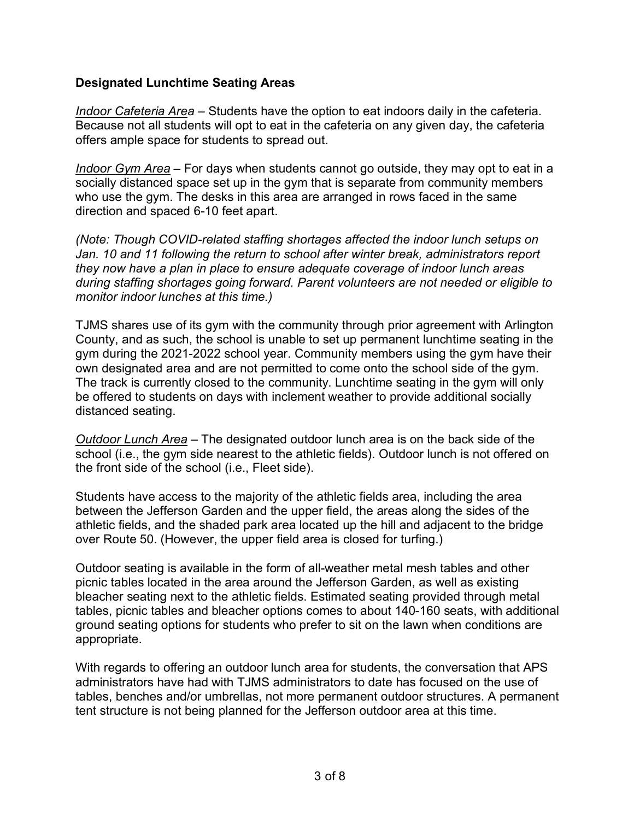#### **Designated Lunchtime Seating Areas**

*Indoor Cafeteria Area* – Students have the option to eat indoors daily in the cafeteria. Because not all students will opt to eat in the cafeteria on any given day, the cafeteria offers ample space for students to spread out.

*Indoor Gym Area* – For days when students cannot go outside, they may opt to eat in a socially distanced space set up in the gym that is separate from community members who use the gym. The desks in this area are arranged in rows faced in the same direction and spaced 6-10 feet apart.

*(Note: Though COVID-related staffing shortages affected the indoor lunch setups on Jan. 10 and 11 following the return to school after winter break, administrators report they now have a plan in place to ensure adequate coverage of indoor lunch areas during staffing shortages going forward. Parent volunteers are not needed or eligible to monitor indoor lunches at this time.)*

TJMS shares use of its gym with the community through prior agreement with Arlington County, and as such, the school is unable to set up permanent lunchtime seating in the gym during the 2021-2022 school year. Community members using the gym have their own designated area and are not permitted to come onto the school side of the gym. The track is currently closed to the community. Lunchtime seating in the gym will only be offered to students on days with inclement weather to provide additional socially distanced seating.

*Outdoor Lunch Area* – The designated outdoor lunch area is on the back side of the school (i.e., the gym side nearest to the athletic fields). Outdoor lunch is not offered on the front side of the school (i.e., Fleet side).

Students have access to the majority of the athletic fields area, including the area between the Jefferson Garden and the upper field, the areas along the sides of the athletic fields, and the shaded park area located up the hill and adjacent to the bridge over Route 50. (However, the upper field area is closed for turfing.)

Outdoor seating is available in the form of all-weather metal mesh tables and other picnic tables located in the area around the Jefferson Garden, as well as existing bleacher seating next to the athletic fields. Estimated seating provided through metal tables, picnic tables and bleacher options comes to about 140-160 seats, with additional ground seating options for students who prefer to sit on the lawn when conditions are appropriate.

With regards to offering an outdoor lunch area for students, the conversation that APS administrators have had with TJMS administrators to date has focused on the use of tables, benches and/or umbrellas, not more permanent outdoor structures. A permanent tent structure is not being planned for the Jefferson outdoor area at this time.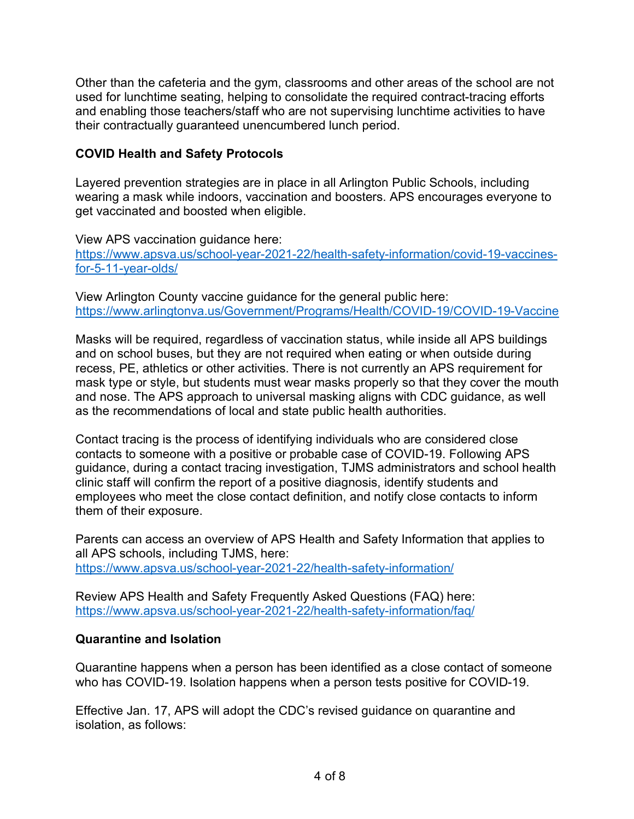Other than the cafeteria and the gym, classrooms and other areas of the school are not used for lunchtime seating, helping to consolidate the required contract-tracing efforts and enabling those teachers/staff who are not supervising lunchtime activities to have their contractually guaranteed unencumbered lunch period.

#### **COVID Health and Safety Protocols**

Layered prevention strategies are in place in all Arlington Public Schools, including wearing a mask while indoors, vaccination and boosters. APS encourages everyone to get vaccinated and boosted when eligible.

View APS vaccination guidance here:

https://www.apsva.us/school-year-2021-22/health-safety-information/covid-19-vaccinesfor-5-11-year-olds/

View Arlington County vaccine guidance for the general public here: https://www.arlingtonva.us/Government/Programs/Health/COVID-19/COVID-19-Vaccine

Masks will be required, regardless of vaccination status, while inside all APS buildings and on school buses, but they are not required when eating or when outside during recess, PE, athletics or other activities. There is not currently an APS requirement for mask type or style, but students must wear masks properly so that they cover the mouth and nose. The APS approach to universal masking aligns with CDC guidance, as well as the recommendations of local and state public health authorities.

Contact tracing is the process of identifying individuals who are considered close contacts to someone with a positive or probable case of COVID-19. Following APS guidance, during a contact tracing investigation, TJMS administrators and school health clinic staff will confirm the report of a positive diagnosis, identify students and employees who meet the close contact definition, and notify close contacts to inform them of their exposure.

Parents can access an overview of APS Health and Safety Information that applies to all APS schools, including TJMS, here: https://www.apsva.us/school-year-2021-22/health-safety-information/

Review APS Health and Safety Frequently Asked Questions (FAQ) here: https://www.apsva.us/school-year-2021-22/health-safety-information/faq/

## **Quarantine and Isolation**

Quarantine happens when a person has been identified as a close contact of someone who has COVID-19. Isolation happens when a person tests positive for COVID-19.

Effective Jan. 17, APS will adopt the CDC's revised guidance on quarantine and isolation, as follows: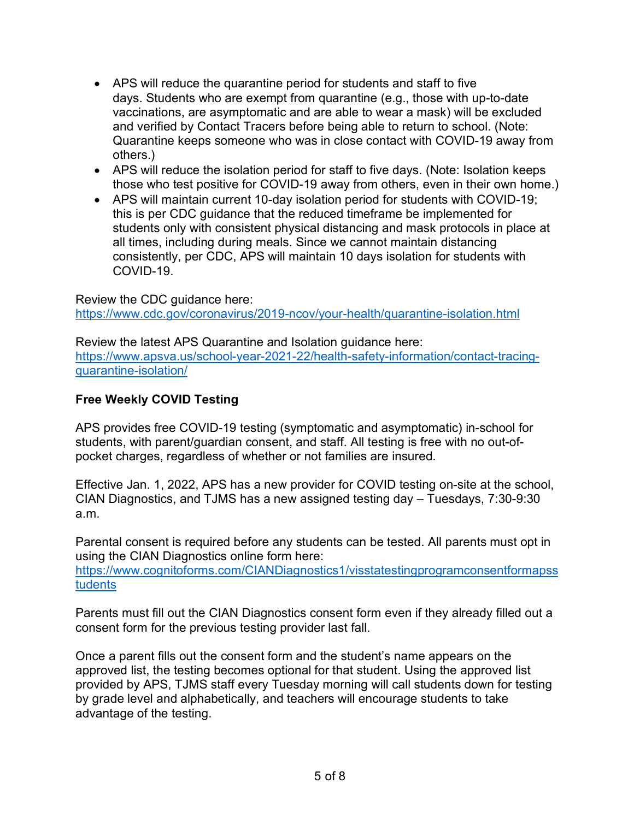- APS will reduce the quarantine period for students and staff to five days. Students who are exempt from quarantine (e.g., those with up-to-date vaccinations, are asymptomatic and are able to wear a mask) will be excluded and verified by Contact Tracers before being able to return to school. (Note: Quarantine keeps someone who was in close contact with COVID-19 away from others.)
- APS will reduce the isolation period for staff to five days. (Note: Isolation keeps those who test positive for COVID-19 away from others, even in their own home.)
- APS will maintain current 10-day isolation period for students with COVID-19; this is per CDC guidance that the reduced timeframe be implemented for students only with consistent physical distancing and mask protocols in place at all times, including during meals. Since we cannot maintain distancing consistently, per CDC, APS will maintain 10 days isolation for students with COVID-19.

Review the CDC guidance here: https://www.cdc.gov/coronavirus/2019-ncov/your-health/quarantine-isolation.html

Review the latest APS Quarantine and Isolation guidance here: https://www.apsva.us/school-year-2021-22/health-safety-information/contact-tracingquarantine-isolation/

## **Free Weekly COVID Testing**

APS provides free COVID-19 testing (symptomatic and asymptomatic) in-school for students, with parent/guardian consent, and staff. All testing is free with no out-ofpocket charges, regardless of whether or not families are insured.

Effective Jan. 1, 2022, APS has a new provider for COVID testing on-site at the school, CIAN Diagnostics, and TJMS has a new assigned testing day – Tuesdays, 7:30-9:30 a.m.

Parental consent is required before any students can be tested. All parents must opt in using the CIAN Diagnostics online form here:

https://www.cognitoforms.com/CIANDiagnostics1/visstatestingprogramconsentformapss tudents

Parents must fill out the CIAN Diagnostics consent form even if they already filled out a consent form for the previous testing provider last fall.

Once a parent fills out the consent form and the student's name appears on the approved list, the testing becomes optional for that student. Using the approved list provided by APS, TJMS staff every Tuesday morning will call students down for testing by grade level and alphabetically, and teachers will encourage students to take advantage of the testing.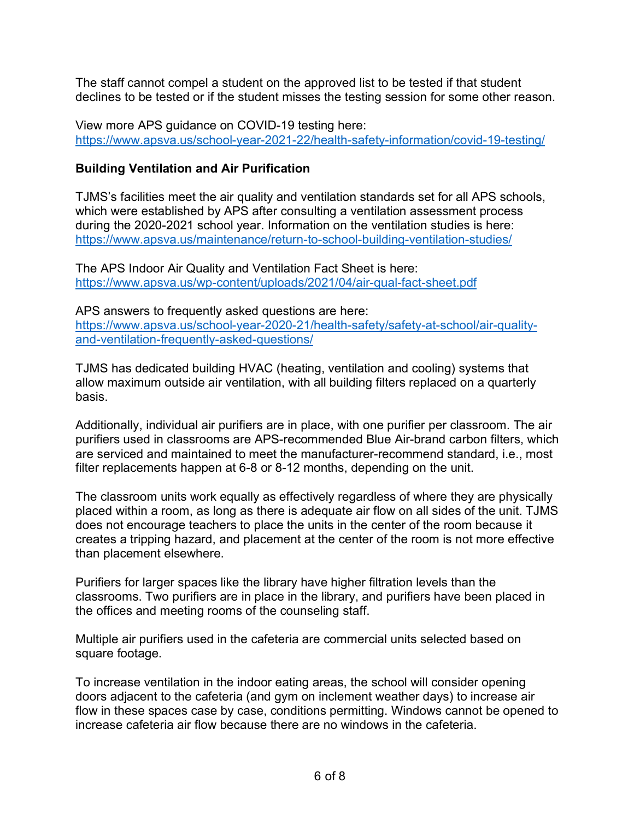The staff cannot compel a student on the approved list to be tested if that student declines to be tested or if the student misses the testing session for some other reason.

View more APS guidance on COVID-19 testing here: https://www.apsva.us/school-year-2021-22/health-safety-information/covid-19-testing/

### **Building Ventilation and Air Purification**

TJMS's facilities meet the air quality and ventilation standards set for all APS schools, which were established by APS after consulting a ventilation assessment process during the 2020-2021 school year. Information on the ventilation studies is here: https://www.apsva.us/maintenance/return-to-school-building-ventilation-studies/

The APS Indoor Air Quality and Ventilation Fact Sheet is here: https://www.apsva.us/wp-content/uploads/2021/04/air-qual-fact-sheet.pdf

APS answers to frequently asked questions are here: https://www.apsva.us/school-year-2020-21/health-safety/safety-at-school/air-qualityand-ventilation-frequently-asked-questions/

TJMS has dedicated building HVAC (heating, ventilation and cooling) systems that allow maximum outside air ventilation, with all building filters replaced on a quarterly basis.

Additionally, individual air purifiers are in place, with one purifier per classroom. The air purifiers used in classrooms are APS-recommended Blue Air-brand carbon filters, which are serviced and maintained to meet the manufacturer-recommend standard, i.e., most filter replacements happen at 6-8 or 8-12 months, depending on the unit.

The classroom units work equally as effectively regardless of where they are physically placed within a room, as long as there is adequate air flow on all sides of the unit. TJMS does not encourage teachers to place the units in the center of the room because it creates a tripping hazard, and placement at the center of the room is not more effective than placement elsewhere.

Purifiers for larger spaces like the library have higher filtration levels than the classrooms. Two purifiers are in place in the library, and purifiers have been placed in the offices and meeting rooms of the counseling staff.

Multiple air purifiers used in the cafeteria are commercial units selected based on square footage.

To increase ventilation in the indoor eating areas, the school will consider opening doors adjacent to the cafeteria (and gym on inclement weather days) to increase air flow in these spaces case by case, conditions permitting. Windows cannot be opened to increase cafeteria air flow because there are no windows in the cafeteria.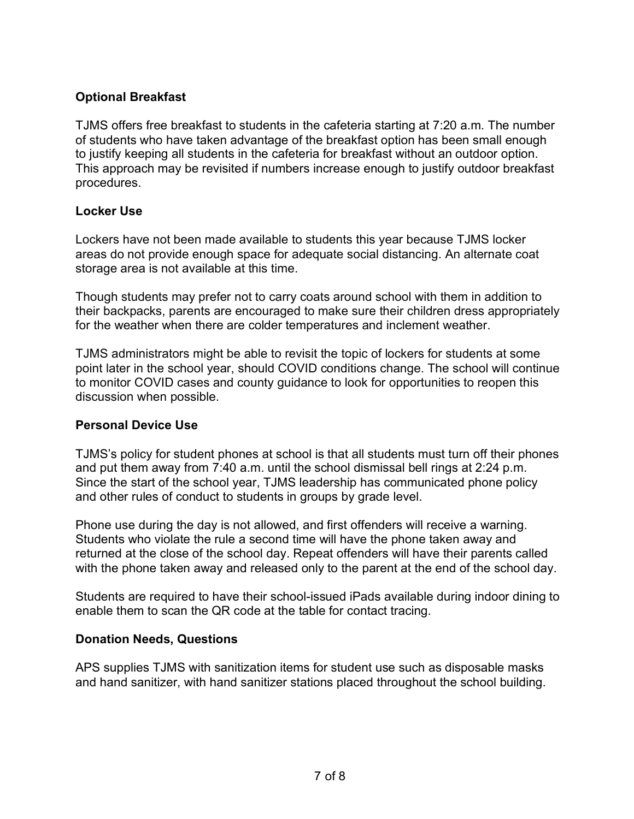## **Optional Breakfast**

TJMS offers free breakfast to students in the cafeteria starting at 7:20 a.m. The number of students who have taken advantage of the breakfast option has been small enough to justify keeping all students in the cafeteria for breakfast without an outdoor option. This approach may be revisited if numbers increase enough to justify outdoor breakfast procedures.

#### **Locker Use**

Lockers have not been made available to students this year because TJMS locker areas do not provide enough space for adequate social distancing. An alternate coat storage area is not available at this time.

Though students may prefer not to carry coats around school with them in addition to their backpacks, parents are encouraged to make sure their children dress appropriately for the weather when there are colder temperatures and inclement weather.

TJMS administrators might be able to revisit the topic of lockers for students at some point later in the school year, should COVID conditions change. The school will continue to monitor COVID cases and county guidance to look for opportunities to reopen this discussion when possible.

#### **Personal Device Use**

TJMS's policy for student phones at school is that all students must turn off their phones and put them away from 7:40 a.m. until the school dismissal bell rings at 2:24 p.m. Since the start of the school year, TJMS leadership has communicated phone policy and other rules of conduct to students in groups by grade level.

Phone use during the day is not allowed, and first offenders will receive a warning. Students who violate the rule a second time will have the phone taken away and returned at the close of the school day. Repeat offenders will have their parents called with the phone taken away and released only to the parent at the end of the school day.

Students are required to have their school-issued iPads available during indoor dining to enable them to scan the QR code at the table for contact tracing.

## **Donation Needs, Questions**

APS supplies TJMS with sanitization items for student use such as disposable masks and hand sanitizer, with hand sanitizer stations placed throughout the school building.